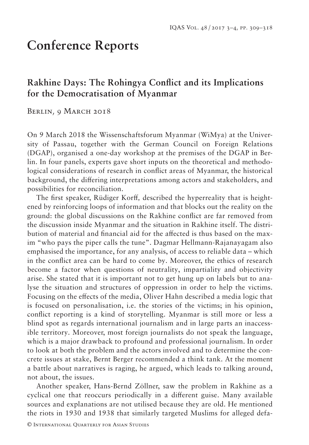## **Conference Reports**

## **Rakhine Days: The Rohingya Conflict and its Implications for the Democratisation of Myanmar**

BERLIN, 9 MARCH 2018

On 9 March 2018 the Wissenschaftsforum Myanmar (WiMya) at the University of Passau, together with the German Council on Foreign Relations (DGAP), organised a one-day workshop at the premises of the DGAP in Berlin. In four panels, experts gave short inputs on the theoretical and methodological considerations of research in conflict areas of Myanmar, the historical background, the differing interpretations among actors and stakeholders, and possibilities for reconciliation.

The first speaker, Rüdiger Korff*,* described the hyperreality that is heightened by reinforcing loops of information and that blocks out the reality on the ground: the global discussions on the Rakhine conflict are far removed from the discussion inside Myanmar and the situation in Rakhine itself. The distribution of material and financial aid for the affected is thus based on the maxim "who pays the piper calls the tune". Dagmar Hellmann-Rajanayagam also emphasised the importance, for any analysis, of access to reliable data – which in the conflict area can be hard to come by. Moreover, the ethics of research become a factor when questions of neutrality, impartiality and objectivity arise. She stated that it is important not to get hung up on labels but to analyse the situation and structures of oppression in order to help the victims. Focusing on the effects of the media, Oliver Hahn described a media logic that is focused on personalisation, i.e. the stories of the victims; in his opinion, conflict reporting is a kind of storytelling. Myanmar is still more or less a blind spot as regards international journalism and in large parts an inaccessible territory. Moreover, most foreign journalists do not speak the language, which is a major drawback to profound and professional journalism. In order to look at both the problem and the actors involved and to determine the concrete issues at stake, Bernt Berger recommended a think tank. At the moment a battle about narratives is raging, he argued, which leads to talking around, not about, the issues.

Another speaker, Hans-Bernd Zöllner, saw the problem in Rakhine as a cyclical one that reoccurs periodically in a different guise. Many available sources and explanations are not utilised because they are old. He mentioned the riots in 1930 and 1938 that similarly targeted Muslims for alleged defa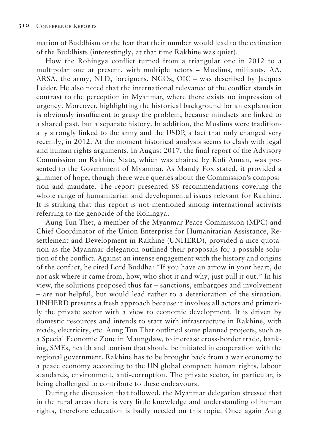mation of Buddhism or the fear that their number would lead to the extinction of the Buddhists (interestingly, at that time Rakhine was quiet).

How the Rohingya conflict turned from a triangular one in 2012 to a multipolar one at present, with multiple actors – Muslims, militants, AA, ARSA, the army, NLD, foreigners, NGOs, OIC – was described by Jacques Leider. He also noted that the international relevance of the conflict stands in contrast to the perception in Myanmar, where there exists no impression of urgency. Moreover, highlighting the historical background for an explanation is obviously insufficient to grasp the problem, because mindsets are linked to a shared past, but a separate history. In addition, the Muslims were traditionally strongly linked to the army and the USDP, a fact that only changed very recently, in 2012. At the moment historical analysis seems to clash with legal and human rights arguments. In August 2017, the final report of the Advisory Commission on Rakhine State, which was chaired by Kofi Annan, was presented to the Government of Myanmar. As Mandy Fox stated, it provided a glimmer of hope, though there were queries about the Commission's composition and mandate. The report presented 88 recommendations covering the whole range of humanitarian and developmental issues relevant for Rakhine. It is striking that this report is not mentioned among international activists referring to the genocide of the Rohingya.

Aung Tun Thet, a member of the Myanmar Peace Commission (MPC) and Chief Coordinator of the Union Enterprise for Humanitarian Assistance, Resettlement and Development in Rakhine (UNHERD), provided a nice quotation as the Myanmar delegation outlined their proposals for a possible solution of the conflict. Against an intense engagement with the history and origins of the conflict, he cited Lord Buddha*:* "If you have an arrow in your heart, do not ask where it came from, how, who shot it and why, just pull it out." In his view, the solutions proposed thus far – sanctions, embargoes and involvement – are not helpful, but would lead rather to a deterioration of the situation. UNHERD presents a fresh approach because it involves all actors and primarily the private sector with a view to economic development. It is driven by domestic resources and intends to start with infrastructure in Rakhine, with roads, electricity, etc. Aung Tun Thet outlined some planned projects, such as a Special Economic Zone in Maungdaw, to increase cross-border trade, banking, SMEs, health and tourism that should be initiated in cooperation with the regional government. Rakhine has to be brought back from a war economy to a peace economy according to the UN global compact: human rights, labour standards, environment, anti-corruption. The private sector, in particular, is being challenged to contribute to these endeavours.

During the discussion that followed, the Myanmar delegation stressed that in the rural areas there is very little knowledge and understanding of human rights, therefore education is badly needed on this topic. Once again Aung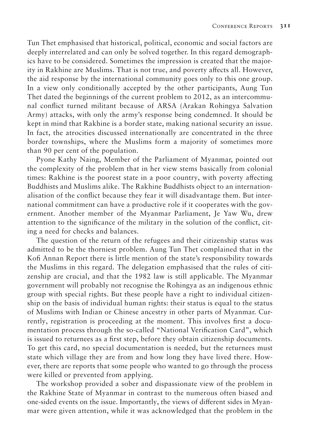Tun Thet emphasised that historical, political, economic and social factors are deeply interrelated and can only be solved together. In this regard demographics have to be considered. Sometimes the impression is created that the majority in Rakhine are Muslims. That is not true, and poverty affects all. However, the aid response by the international community goes only to this one group. In a view only conditionally accepted by the other participants, Aung Tun Thet dated the beginnings of the current problem to 2012, as an intercommunal conflict turned militant because of ARSA (Arakan Rohingya Salvation Army) attacks, with only the army's response being condemned. It should be kept in mind that Rakhine is a border state, making national security an issue. In fact, the atrocities discussed internationally are concentrated in the three border townships, where the Muslims form a majority of sometimes more than 90 per cent of the population.

Pyone Kathy Naing, Member of the Parliament of Myanmar, pointed out the complexity of the problem that in her view stems basically from colonial times: Rakhine is the poorest state in a poor country, with poverty affecting Buddhists and Muslims alike. The Rakhine Buddhists object to an internationalisation of the conflict because they fear it will disadvantage them. But international commitment can have a productive role if it cooperates with the government. Another member of the Myanmar Parliament, Je Yaw Wu, drew attention to the significance of the military in the solution of the conflict, citing a need for checks and balances.

The question of the return of the refugees and their citizenship status was admitted to be the thorniest problem. Aung Tun Thet complained that in the Kofi Annan Report there is little mention of the state's responsibility towards the Muslims in this regard. The delegation emphasised that the rules of citizenship are crucial, and that the 1982 law is still applicable. The Myanmar government will probably not recognise the Rohingya as an indigenous ethnic group with special rights. But these people have a right to individual citizenship on the basis of individual human rights: their status is equal to the status of Muslims with Indian or Chinese ancestry in other parts of Myanmar. Currently, registration is proceeding at the moment. This involves first a documentation process through the so-called "National Verification Card", which is issued to returnees as a first step, before they obtain citizenship documents. To get this card, no special documentation is needed, but the returnees must state which village they are from and how long they have lived there. However, there are reports that some people who wanted to go through the process were killed or prevented from applying.

The workshop provided a sober and dispassionate view of the problem in the Rakhine State of Myanmar in contrast to the numerous often biased and one-sided events on the issue. Importantly, the views of different sides in Myanmar were given attention, while it was acknowledged that the problem in the